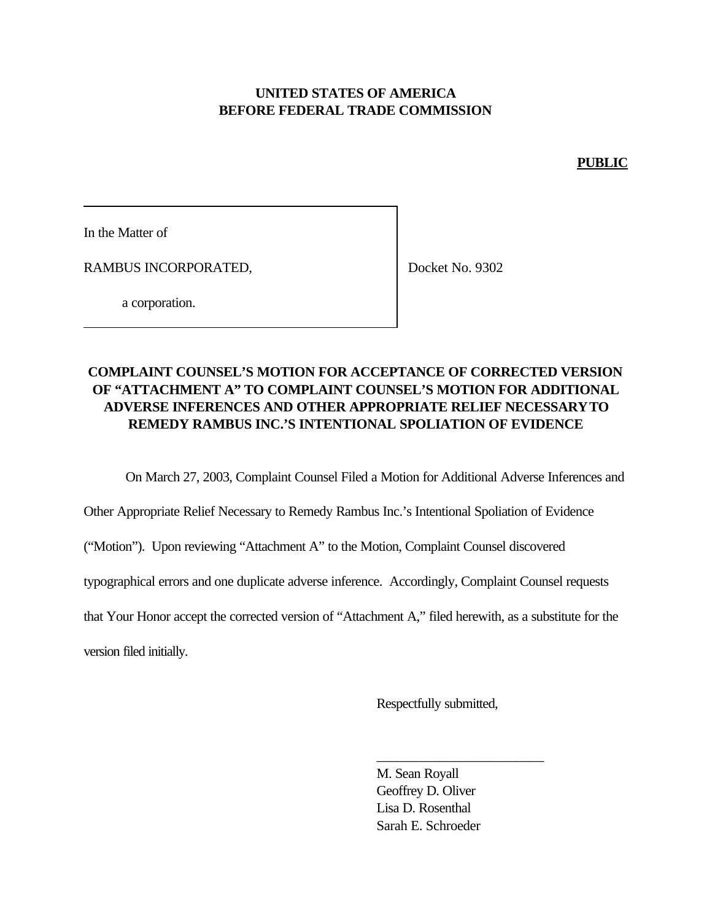#### **UNITED STATES OF AMERICA BEFORE FEDERAL TRADE COMMISSION**

**PUBLIC**

In the Matter of

RAMBUS INCORPORATED,

Docket No. 9302

a corporation.

## **COMPLAINT COUNSEL'S MOTION FOR ACCEPTANCE OF CORRECTED VERSION OF "ATTACHMENT A" TO COMPLAINT COUNSEL'S MOTION FOR ADDITIONAL ADVERSE INFERENCES AND OTHER APPROPRIATE RELIEF NECESSARYTO REMEDY RAMBUS INC.'S INTENTIONAL SPOLIATION OF EVIDENCE**

On March 27, 2003, Complaint Counsel Filed a Motion for Additional Adverse Inferences and

Other Appropriate Relief Necessary to Remedy Rambus Inc.'s Intentional Spoliation of Evidence

("Motion"). Upon reviewing "Attachment A" to the Motion, Complaint Counsel discovered

typographical errors and one duplicate adverse inference. Accordingly, Complaint Counsel requests

that Your Honor accept the corrected version of "Attachment A," filed herewith, as a substitute for the

version filed initially.

Respectfully submitted,

\_\_\_\_\_\_\_\_\_\_\_\_\_\_\_\_\_\_\_\_\_\_\_\_

M. Sean Royall Geoffrey D. Oliver Lisa D. Rosenthal Sarah E. Schroeder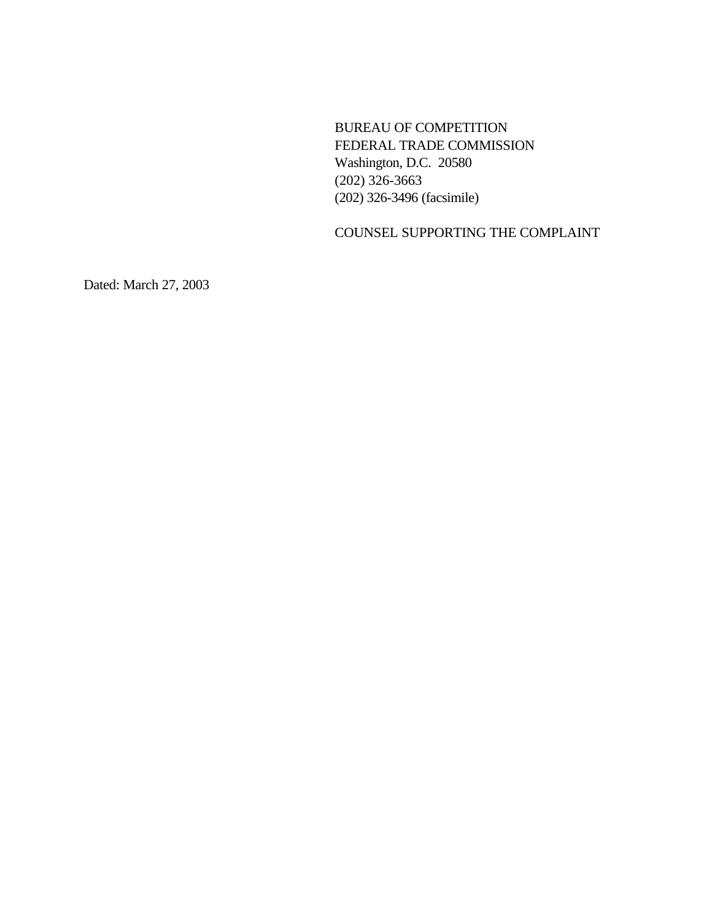BUREAU OF COMPETITION FEDERAL TRADE COMMISSION Washington, D.C. 20580 (202) 326-3663 (202) 326-3496 (facsimile)

COUNSEL SUPPORTING THE COMPLAINT

Dated: March 27, 2003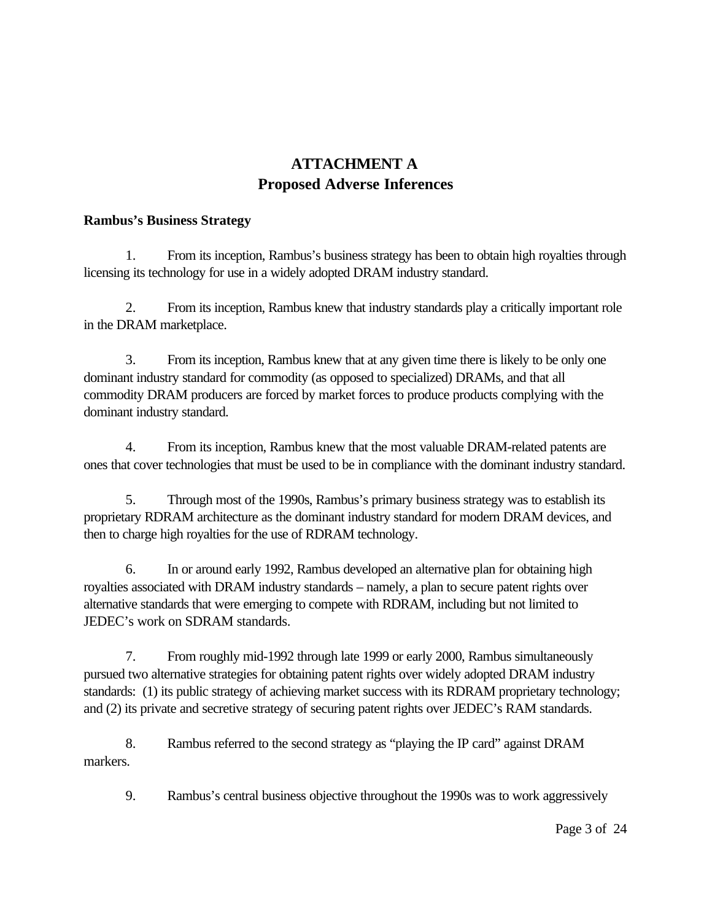# **ATTACHMENT A Proposed Adverse Inferences**

#### **Rambus's Business Strategy**

1. From its inception, Rambus's business strategy has been to obtain high royalties through licensing its technology for use in a widely adopted DRAM industry standard.

2. From its inception, Rambus knew that industry standards play a critically important role in the DRAM marketplace.

3. From its inception, Rambus knew that at any given time there is likely to be only one dominant industry standard for commodity (as opposed to specialized) DRAMs, and that all commodity DRAM producers are forced by market forces to produce products complying with the dominant industry standard.

4. From its inception, Rambus knew that the most valuable DRAM-related patents are ones that cover technologies that must be used to be in compliance with the dominant industry standard.

5. Through most of the 1990s, Rambus's primary business strategy was to establish its proprietary RDRAM architecture as the dominant industry standard for modern DRAM devices, and then to charge high royalties for the use of RDRAM technology.

6. In or around early 1992, Rambus developed an alternative plan for obtaining high royalties associated with DRAM industry standards – namely, a plan to secure patent rights over alternative standards that were emerging to compete with RDRAM, including but not limited to JEDEC's work on SDRAM standards.

7. From roughly mid-1992 through late 1999 or early 2000, Rambus simultaneously pursued two alternative strategies for obtaining patent rights over widely adopted DRAM industry standards: (1) its public strategy of achieving market success with its RDRAM proprietary technology; and (2) its private and secretive strategy of securing patent rights over JEDEC's RAM standards.

8. Rambus referred to the second strategy as "playing the IP card" against DRAM markers.

9. Rambus's central business objective throughout the 1990s was to work aggressively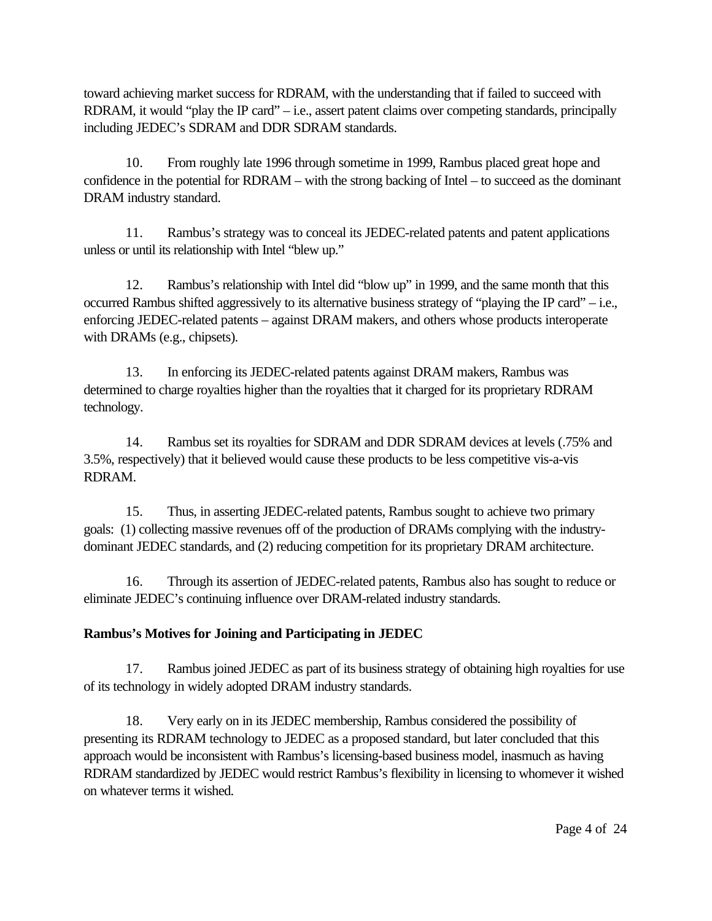toward achieving market success for RDRAM, with the understanding that if failed to succeed with RDRAM, it would "play the IP card" – i.e., assert patent claims over competing standards, principally including JEDEC's SDRAM and DDR SDRAM standards.

10. From roughly late 1996 through sometime in 1999, Rambus placed great hope and confidence in the potential for RDRAM – with the strong backing of Intel – to succeed as the dominant DRAM industry standard.

11. Rambus's strategy was to conceal its JEDEC-related patents and patent applications unless or until its relationship with Intel "blew up."

12. Rambus's relationship with Intel did "blow up" in 1999, and the same month that this occurred Rambus shifted aggressively to its alternative business strategy of "playing the IP card" – i.e., enforcing JEDEC-related patents – against DRAM makers, and others whose products interoperate with DRAMs (e.g., chipsets).

13. In enforcing its JEDEC-related patents against DRAM makers, Rambus was determined to charge royalties higher than the royalties that it charged for its proprietary RDRAM technology.

14. Rambus set its royalties for SDRAM and DDR SDRAM devices at levels (.75% and 3.5%, respectively) that it believed would cause these products to be less competitive vis-a-vis RDRAM.

15. Thus, in asserting JEDEC-related patents, Rambus sought to achieve two primary goals: (1) collecting massive revenues off of the production of DRAMs complying with the industrydominant JEDEC standards, and (2) reducing competition for its proprietary DRAM architecture.

16. Through its assertion of JEDEC-related patents, Rambus also has sought to reduce or eliminate JEDEC's continuing influence over DRAM-related industry standards.

## **Rambus's Motives for Joining and Participating in JEDEC**

17. Rambus joined JEDEC as part of its business strategy of obtaining high royalties for use of its technology in widely adopted DRAM industry standards.

18. Very early on in its JEDEC membership, Rambus considered the possibility of presenting its RDRAM technology to JEDEC as a proposed standard, but later concluded that this approach would be inconsistent with Rambus's licensing-based business model, inasmuch as having RDRAM standardized by JEDEC would restrict Rambus's flexibility in licensing to whomever it wished on whatever terms it wished.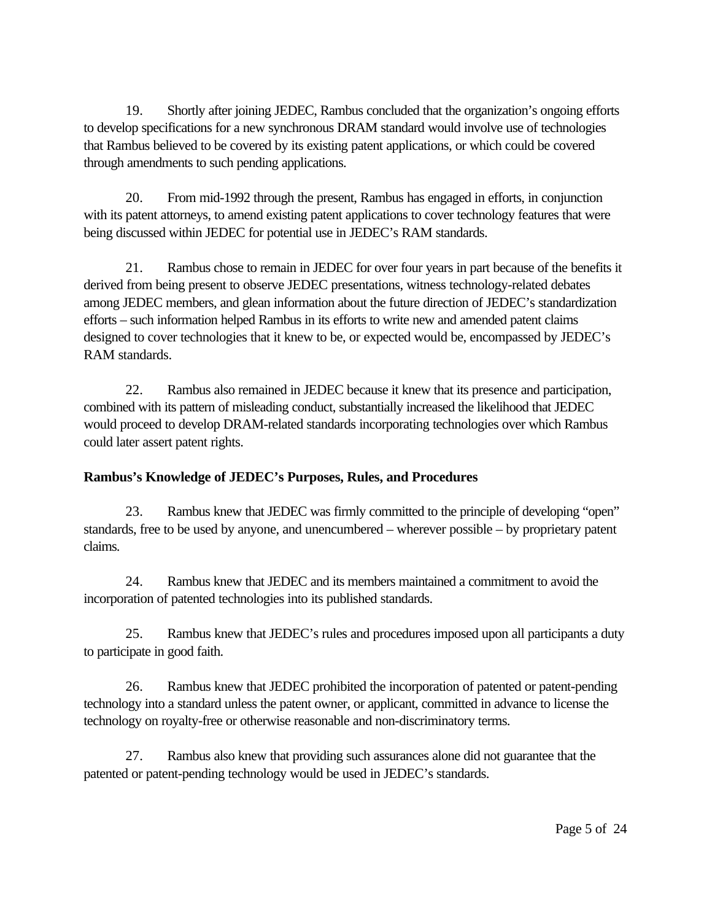19. Shortly after joining JEDEC, Rambus concluded that the organization's ongoing efforts to develop specifications for a new synchronous DRAM standard would involve use of technologies that Rambus believed to be covered by its existing patent applications, or which could be covered through amendments to such pending applications.

20. From mid-1992 through the present, Rambus has engaged in efforts, in conjunction with its patent attorneys, to amend existing patent applications to cover technology features that were being discussed within JEDEC for potential use in JEDEC's RAM standards.

21. Rambus chose to remain in JEDEC for over four years in part because of the benefits it derived from being present to observe JEDEC presentations, witness technology-related debates among JEDEC members, and glean information about the future direction of JEDEC's standardization efforts – such information helped Rambus in its efforts to write new and amended patent claims designed to cover technologies that it knew to be, or expected would be, encompassed by JEDEC's RAM standards.

22. Rambus also remained in JEDEC because it knew that its presence and participation, combined with its pattern of misleading conduct, substantially increased the likelihood that JEDEC would proceed to develop DRAM-related standards incorporating technologies over which Rambus could later assert patent rights.

## **Rambus's Knowledge of JEDEC's Purposes, Rules, and Procedures**

23. Rambus knew that JEDEC was firmly committed to the principle of developing "open" standards, free to be used by anyone, and unencumbered – wherever possible – by proprietary patent claims.

24. Rambus knew that JEDEC and its members maintained a commitment to avoid the incorporation of patented technologies into its published standards.

25. Rambus knew that JEDEC's rules and procedures imposed upon all participants a duty to participate in good faith.

26. Rambus knew that JEDEC prohibited the incorporation of patented or patent-pending technology into a standard unless the patent owner, or applicant, committed in advance to license the technology on royalty-free or otherwise reasonable and non-discriminatory terms.

27. Rambus also knew that providing such assurances alone did not guarantee that the patented or patent-pending technology would be used in JEDEC's standards.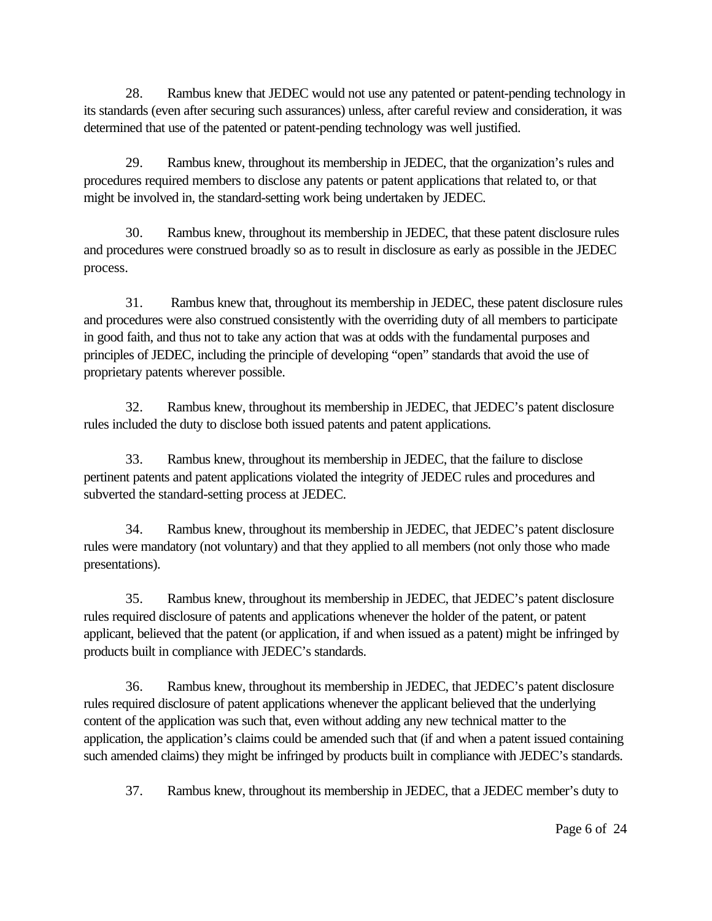28. Rambus knew that JEDEC would not use any patented or patent-pending technology in its standards (even after securing such assurances) unless, after careful review and consideration, it was determined that use of the patented or patent-pending technology was well justified.

29. Rambus knew, throughout its membership in JEDEC, that the organization's rules and procedures required members to disclose any patents or patent applications that related to, or that might be involved in, the standard-setting work being undertaken by JEDEC.

30. Rambus knew, throughout its membership in JEDEC, that these patent disclosure rules and procedures were construed broadly so as to result in disclosure as early as possible in the JEDEC process.

31. Rambus knew that, throughout its membership in JEDEC, these patent disclosure rules and procedures were also construed consistently with the overriding duty of all members to participate in good faith, and thus not to take any action that was at odds with the fundamental purposes and principles of JEDEC, including the principle of developing "open" standards that avoid the use of proprietary patents wherever possible.

32. Rambus knew, throughout its membership in JEDEC, that JEDEC's patent disclosure rules included the duty to disclose both issued patents and patent applications.

33. Rambus knew, throughout its membership in JEDEC, that the failure to disclose pertinent patents and patent applications violated the integrity of JEDEC rules and procedures and subverted the standard-setting process at JEDEC.

34. Rambus knew, throughout its membership in JEDEC, that JEDEC's patent disclosure rules were mandatory (not voluntary) and that they applied to all members (not only those who made presentations).

35. Rambus knew, throughout its membership in JEDEC, that JEDEC's patent disclosure rules required disclosure of patents and applications whenever the holder of the patent, or patent applicant, believed that the patent (or application, if and when issued as a patent) might be infringed by products built in compliance with JEDEC's standards.

36. Rambus knew, throughout its membership in JEDEC, that JEDEC's patent disclosure rules required disclosure of patent applications whenever the applicant believed that the underlying content of the application was such that, even without adding any new technical matter to the application, the application's claims could be amended such that (if and when a patent issued containing such amended claims) they might be infringed by products built in compliance with JEDEC's standards.

37. Rambus knew, throughout its membership in JEDEC, that a JEDEC member's duty to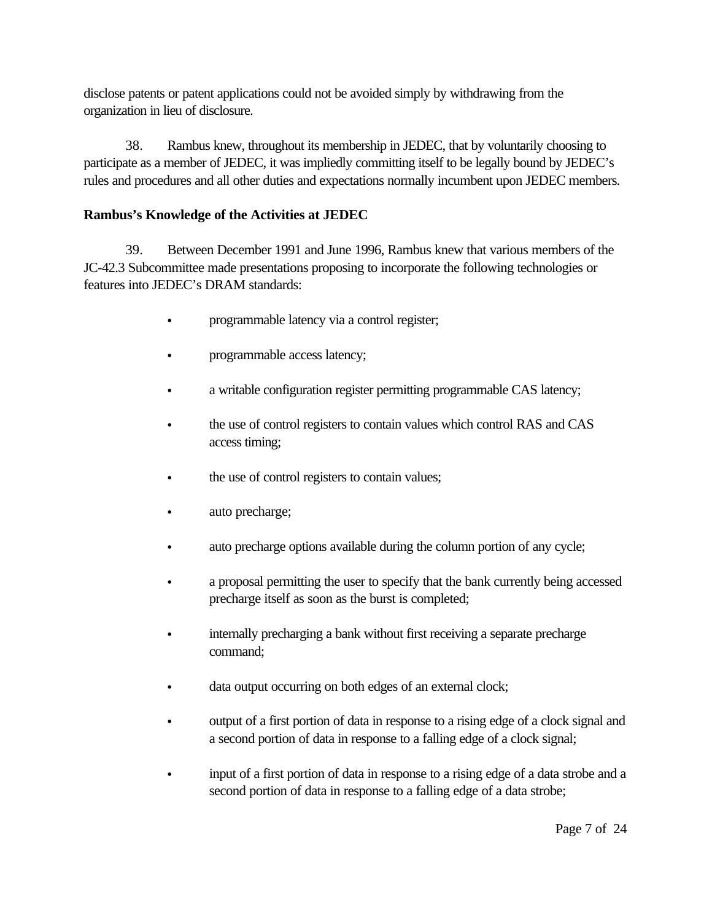disclose patents or patent applications could not be avoided simply by withdrawing from the organization in lieu of disclosure.

38. Rambus knew, throughout its membership in JEDEC, that by voluntarily choosing to participate as a member of JEDEC, it was impliedly committing itself to be legally bound by JEDEC's rules and procedures and all other duties and expectations normally incumbent upon JEDEC members.

#### **Rambus's Knowledge of the Activities at JEDEC**

39. Between December 1991 and June 1996, Rambus knew that various members of the JC-42.3 Subcommittee made presentations proposing to incorporate the following technologies or features into JEDEC's DRAM standards:

- programmable latency via a control register;
- programmable access latency;
- a writable configuration register permitting programmable CAS latency;
- the use of control registers to contain values which control RAS and CAS access timing;
- the use of control registers to contain values;
- auto precharge;
- auto precharge options available during the column portion of any cycle;
- a proposal permitting the user to specify that the bank currently being accessed precharge itself as soon as the burst is completed;
- internally precharging a bank without first receiving a separate precharge command;
- data output occurring on both edges of an external clock;
- output of a first portion of data in response to a rising edge of a clock signal and a second portion of data in response to a falling edge of a clock signal;
- input of a first portion of data in response to a rising edge of a data strobe and a second portion of data in response to a falling edge of a data strobe;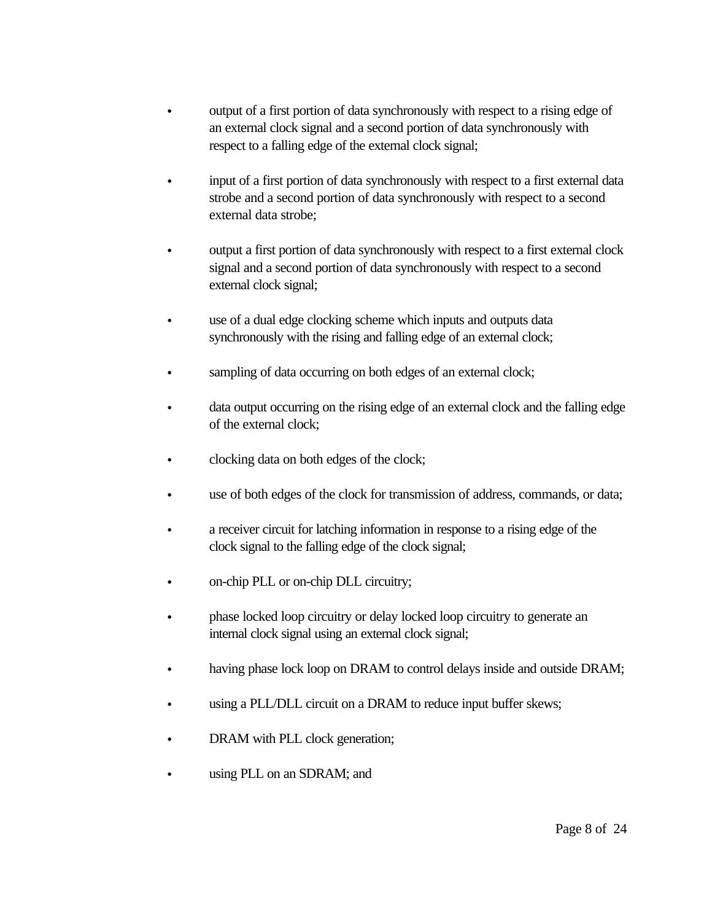- output of a first portion of data synchronously with respect to a rising edge of an external clock signal and a second portion of data synchronously with respect to a falling edge of the external clock signal;
- input of a first portion of data synchronously with respect to a first external data strobe and a second portion of data synchronously with respect to a second external data strobe;
- output a first portion of data synchronously with respect to a first external clock signal and a second portion of data synchronously with respect to a second external clock signal;
- use of a dual edge clocking scheme which inputs and outputs data synchronously with the rising and falling edge of an external clock;
- sampling of data occurring on both edges of an external clock;
- data output occurring on the rising edge of an external clock and the falling edge of the external clock;
- clocking data on both edges of the clock;
- use of both edges of the clock for transmission of address, commands, or data;
- a receiver circuit for latching information in response to a rising edge of the clock signal to the falling edge of the clock signal;
- on-chip PLL or on-chip DLL circuitry;
- phase locked loop circuitry or delay locked loop circuitry to generate an internal clock signal using an external clock signal;
- having phase lock loop on DRAM to control delays inside and outside DRAM;
- using a PLL/DLL circuit on a DRAM to reduce input buffer skews;
- DRAM with PLL clock generation;
- using PLL on an SDRAM; and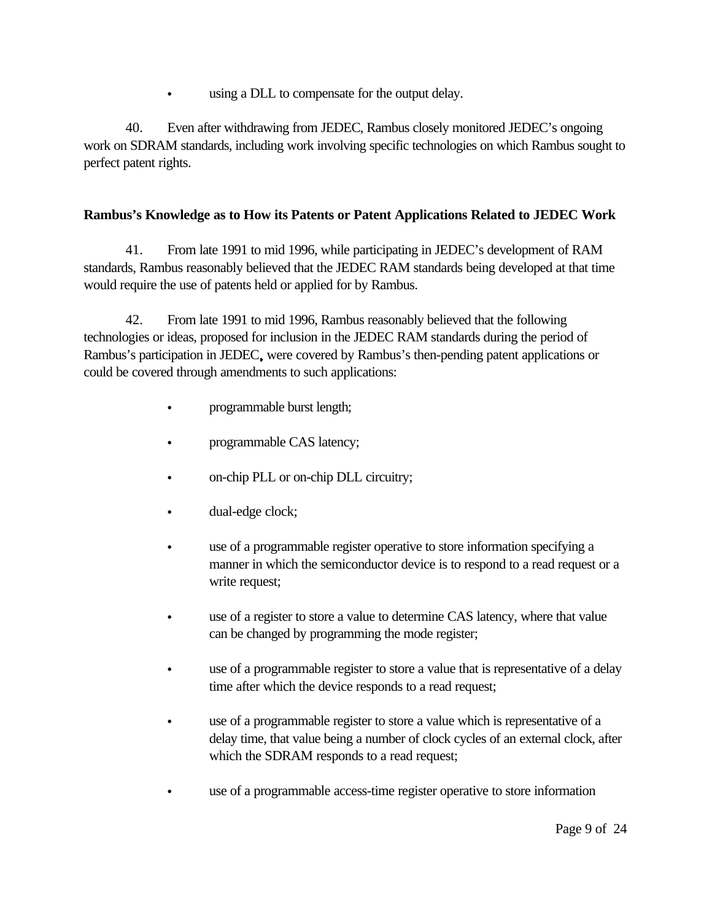using a DLL to compensate for the output delay.

40. Even after withdrawing from JEDEC, Rambus closely monitored JEDEC's ongoing work on SDRAM standards, including work involving specific technologies on which Rambus sought to perfect patent rights.

#### **Rambus's Knowledge as to How its Patents or Patent Applications Related to JEDEC Work**

41. From late 1991 to mid 1996, while participating in JEDEC's development of RAM standards, Rambus reasonably believed that the JEDEC RAM standards being developed at that time would require the use of patents held or applied for by Rambus.

42. From late 1991 to mid 1996, Rambus reasonably believed that the following technologies or ideas, proposed for inclusion in the JEDEC RAM standards during the period of Rambus's participation in JEDEC were covered by Rambus's then-pending patent applications or could be covered through amendments to such applications:

- programmable burst length;
- programmable CAS latency;
- on-chip PLL or on-chip DLL circuitry;
- dual-edge clock;
- use of a programmable register operative to store information specifying a manner in which the semiconductor device is to respond to a read request or a write request;
- use of a register to store a value to determine CAS latency, where that value can be changed by programming the mode register;
- use of a programmable register to store a value that is representative of a delay time after which the device responds to a read request;
- use of a programmable register to store a value which is representative of a delay time, that value being a number of clock cycles of an external clock, after which the SDRAM responds to a read request;
- use of a programmable access-time register operative to store information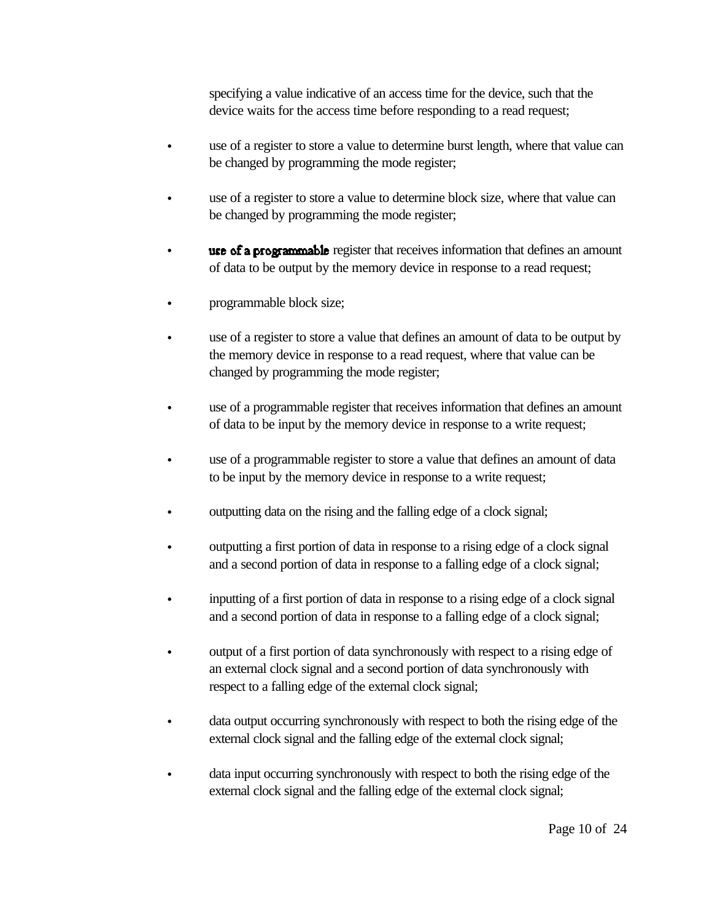specifying a value indicative of an access time for the device, such that the device waits for the access time before responding to a read request;

- use of a register to store a value to determine burst length, where that value can be changed by programming the mode register;
- use of a register to store a value to determine block size, where that value can be changed by programming the mode register;
- use of a programmable register that receives information that defines an amount of data to be output by the memory device in response to a read request;
- programmable block size;
- use of a register to store a value that defines an amount of data to be output by the memory device in response to a read request, where that value can be changed by programming the mode register;
- use of a programmable register that receives information that defines an amount of data to be input by the memory device in response to a write request;
- use of a programmable register to store a value that defines an amount of data to be input by the memory device in response to a write request;
- outputting data on the rising and the falling edge of a clock signal;
- outputting a first portion of data in response to a rising edge of a clock signal and a second portion of data in response to a falling edge of a clock signal;
- inputting of a first portion of data in response to a rising edge of a clock signal and a second portion of data in response to a falling edge of a clock signal;
- output of a first portion of data synchronously with respect to a rising edge of an external clock signal and a second portion of data synchronously with respect to a falling edge of the external clock signal;
- data output occurring synchronously with respect to both the rising edge of the external clock signal and the falling edge of the external clock signal;
- data input occurring synchronously with respect to both the rising edge of the external clock signal and the falling edge of the external clock signal;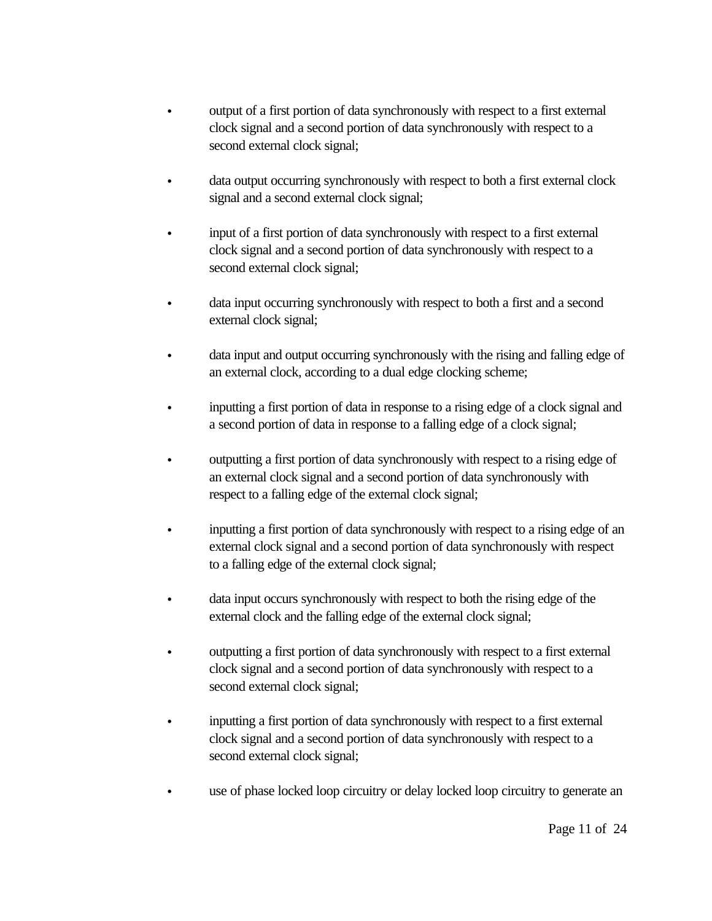- output of a first portion of data synchronously with respect to a first external clock signal and a second portion of data synchronously with respect to a second external clock signal;
- data output occurring synchronously with respect to both a first external clock signal and a second external clock signal;
- input of a first portion of data synchronously with respect to a first external clock signal and a second portion of data synchronously with respect to a second external clock signal;
- data input occurring synchronously with respect to both a first and a second external clock signal;
- data input and output occurring synchronously with the rising and falling edge of an external clock, according to a dual edge clocking scheme;
- inputting a first portion of data in response to a rising edge of a clock signal and a second portion of data in response to a falling edge of a clock signal;
- outputting a first portion of data synchronously with respect to a rising edge of an external clock signal and a second portion of data synchronously with respect to a falling edge of the external clock signal;
- inputting a first portion of data synchronously with respect to a rising edge of an external clock signal and a second portion of data synchronously with respect to a falling edge of the external clock signal;
- data input occurs synchronously with respect to both the rising edge of the external clock and the falling edge of the external clock signal;
- outputting a first portion of data synchronously with respect to a first external clock signal and a second portion of data synchronously with respect to a second external clock signal;
- inputting a first portion of data synchronously with respect to a first external clock signal and a second portion of data synchronously with respect to a second external clock signal;
- use of phase locked loop circuitry or delay locked loop circuitry to generate an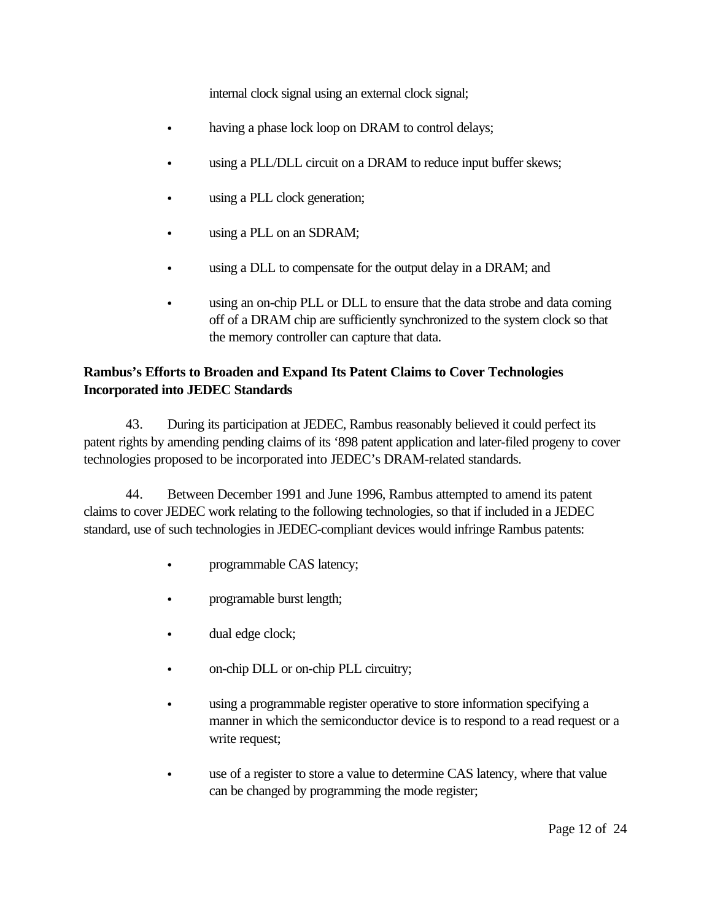internal clock signal using an external clock signal;

- having a phase lock loop on DRAM to control delays;
- using a PLL/DLL circuit on a DRAM to reduce input buffer skews;
- using a PLL clock generation;
- using a PLL on an SDRAM;
- using a DLL to compensate for the output delay in a DRAM; and
- using an on-chip PLL or DLL to ensure that the data strobe and data coming off of a DRAM chip are sufficiently synchronized to the system clock so that the memory controller can capture that data.

#### **Rambus's Efforts to Broaden and Expand Its Patent Claims to Cover Technologies Incorporated into JEDEC Standards**

43. During its participation at JEDEC, Rambus reasonably believed it could perfect its patent rights by amending pending claims of its '898 patent application and later-filed progeny to cover technologies proposed to be incorporated into JEDEC's DRAM-related standards.

44. Between December 1991 and June 1996, Rambus attempted to amend its patent claims to cover JEDEC work relating to the following technologies, so that if included in a JEDEC standard, use of such technologies in JEDEC-compliant devices would infringe Rambus patents:

- programmable CAS latency;
- programable burst length;
- dual edge clock;
- on-chip DLL or on-chip PLL circuitry;
- using a programmable register operative to store information specifying a manner in which the semiconductor device is to respond to a read request or a write request;
- use of a register to store a value to determine CAS latency, where that value can be changed by programming the mode register;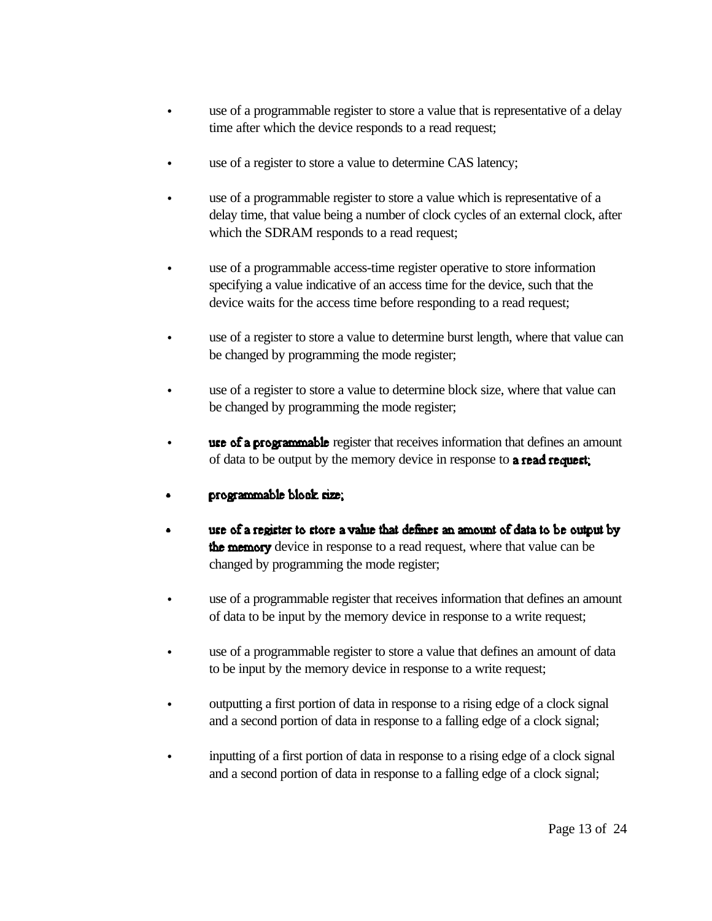- use of a programmable register to store a value that is representative of a delay time after which the device responds to a read request;
- use of a register to store a value to determine CAS latency;
- use of a programmable register to store a value which is representative of a delay time, that value being a number of clock cycles of an external clock, after which the SDRAM responds to a read request;
- use of a programmable access-time register operative to store information specifying a value indicative of an access time for the device, such that the device waits for the access time before responding to a read request;
- use of a register to store a value to determine burst length, where that value can be changed by programming the mode register;
- use of a register to store a value to determine block size, where that value can be changed by programming the mode register;
- $\cdot$  **use of a programmable** register that receives information that defines an amount of data to be output by the memory device in response to **a read request**,
- programmable block size.
- use of a register to store a value that defines an amount of data to be output by  $\blacksquare$ the memory device in response to a read request, where that value can be changed by programming the mode register;
- use of a programmable register that receives information that defines an amount of data to be input by the memory device in response to a write request;
- use of a programmable register to store a value that defines an amount of data to be input by the memory device in response to a write request;
- outputting a first portion of data in response to a rising edge of a clock signal and a second portion of data in response to a falling edge of a clock signal;
- inputting of a first portion of data in response to a rising edge of a clock signal and a second portion of data in response to a falling edge of a clock signal;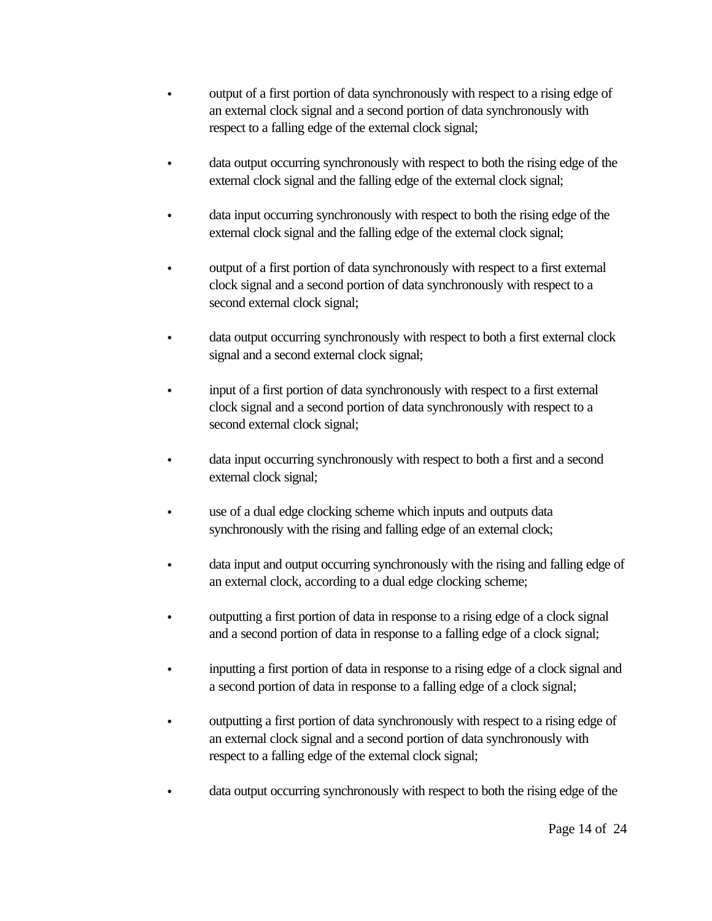- output of a first portion of data synchronously with respect to a rising edge of an external clock signal and a second portion of data synchronously with respect to a falling edge of the external clock signal;
- data output occurring synchronously with respect to both the rising edge of the external clock signal and the falling edge of the external clock signal;
- data input occurring synchronously with respect to both the rising edge of the external clock signal and the falling edge of the external clock signal;
- output of a first portion of data synchronously with respect to a first external clock signal and a second portion of data synchronously with respect to a second external clock signal;
- data output occurring synchronously with respect to both a first external clock signal and a second external clock signal;
- input of a first portion of data synchronously with respect to a first external clock signal and a second portion of data synchronously with respect to a second external clock signal;
- data input occurring synchronously with respect to both a first and a second external clock signal;
- use of a dual edge clocking scheme which inputs and outputs data synchronously with the rising and falling edge of an external clock;
- data input and output occurring synchronously with the rising and falling edge of an external clock, according to a dual edge clocking scheme;
- outputting a first portion of data in response to a rising edge of a clock signal and a second portion of data in response to a falling edge of a clock signal;
- inputting a first portion of data in response to a rising edge of a clock signal and a second portion of data in response to a falling edge of a clock signal;
- outputting a first portion of data synchronously with respect to a rising edge of an external clock signal and a second portion of data synchronously with respect to a falling edge of the external clock signal;
- data output occurring synchronously with respect to both the rising edge of the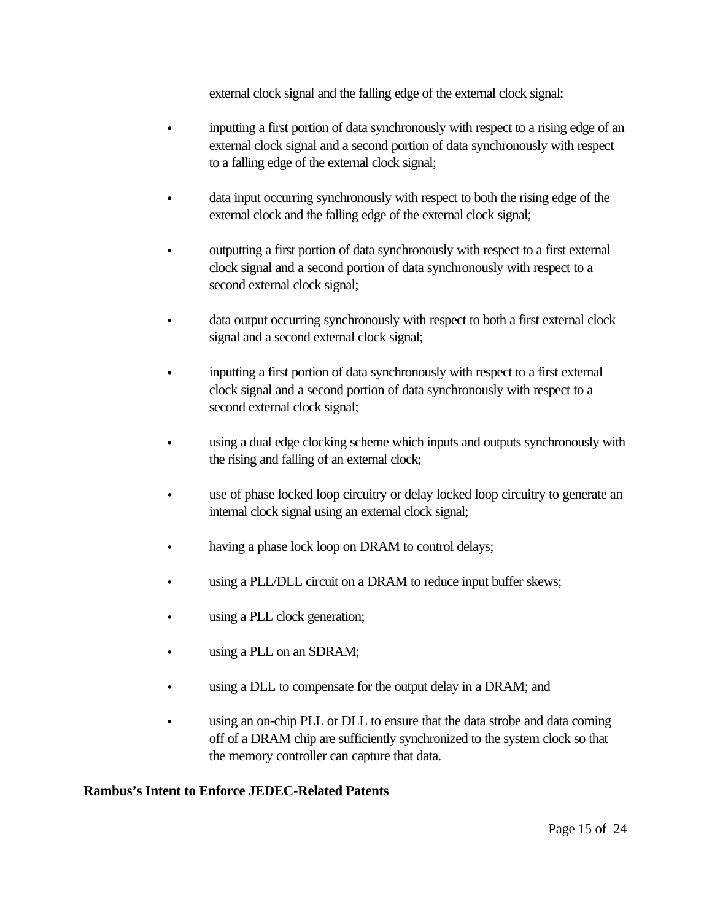external clock signal and the falling edge of the external clock signal;

- inputting a first portion of data synchronously with respect to a rising edge of an external clock signal and a second portion of data synchronously with respect to a falling edge of the external clock signal;
- data input occurring synchronously with respect to both the rising edge of the external clock and the falling edge of the external clock signal;
- outputting a first portion of data synchronously with respect to a first external clock signal and a second portion of data synchronously with respect to a second external clock signal;
- data output occurring synchronously with respect to both a first external clock signal and a second external clock signal;
- inputting a first portion of data synchronously with respect to a first external clock signal and a second portion of data synchronously with respect to a second external clock signal;
- using a dual edge clocking scheme which inputs and outputs synchronously with the rising and falling of an external clock;
- use of phase locked loop circuitry or delay locked loop circuitry to generate an internal clock signal using an external clock signal;
- having a phase lock loop on DRAM to control delays;
- using a PLL/DLL circuit on a DRAM to reduce input buffer skews;
- using a PLL clock generation;
- using a PLL on an SDRAM;
- using a DLL to compensate for the output delay in a DRAM; and
- using an on-chip PLL or DLL to ensure that the data strobe and data coming off of a DRAM chip are sufficiently synchronized to the system clock so that the memory controller can capture that data.

#### **Rambus's Intent to Enforce JEDEC-Related Patents**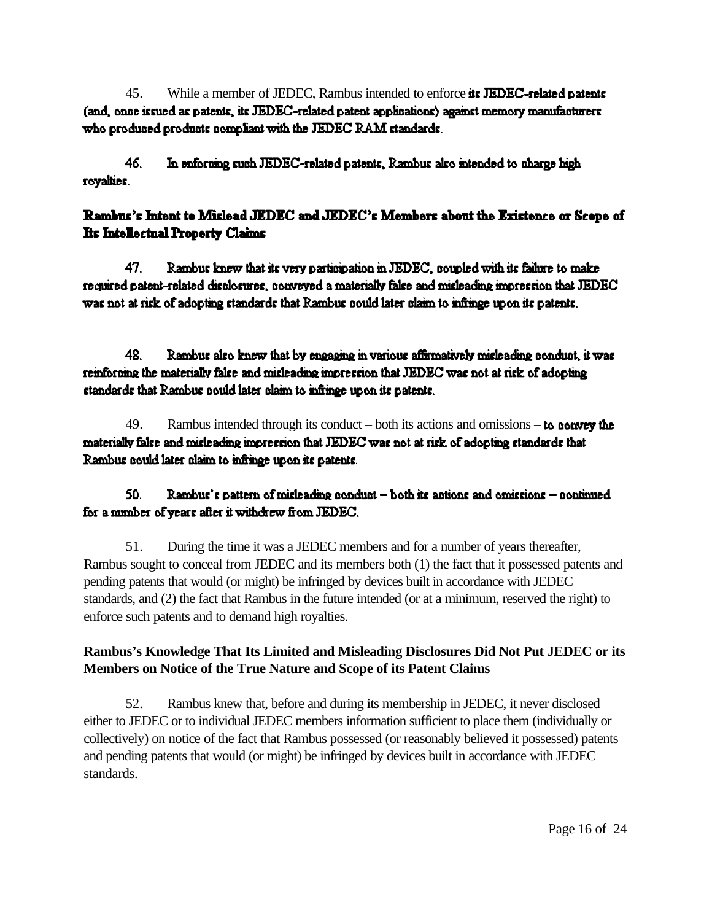45. While a member of JEDEC, Rambus intended to enforce its JEDEC-related patents (and, once issued as patents, its JEDEC-related patent applications) against memory manufacturers who produced products compliant with the JEDEC RAM standards.

46. In enforcing such JEDEC-related patents, Rambus also intended to charge high royalties.

## Rambus's Intent to Mislead JEDEC and JEDEC's Members about the Existence or Scope of **Its Intellectual Property Claims**

47 Rambus knew that its very participation in JEDEC, coupled with its failure to make required patent-related displosures, ponveyed a materially false and misleading impression that JEDEC was not at risk of adopting standards that Rambus pould later plain to infringe upon its patents.

48. Rambus also knew that by engaging in various affirmatively misleading conduct, it was reinforcing the materially false and misleading impression that JEDEC was not at risk of adopting standards that Rambus nould later claim to infringe upon its patents.

49. Rambus intended through its conduct – both its actions and omissions – to **convey the** materially false and misleading impression that JEDEC was not at risk of adopting standards that Rambus nould later claim to infringe upon its patents.

#### 50. Rambus's pattern of misleading ponduct  $-\text{both}$  its actions and omissions  $-\text{pointmed}$ for a number of years after it withdrew from JEDEC.

51. During the time it was a JEDEC members and for a number of years thereafter, Rambus sought to conceal from JEDEC and its members both (1) the fact that it possessed patents and pending patents that would (or might) be infringed by devices built in accordance with JEDEC standards, and (2) the fact that Rambus in the future intended (or at a minimum, reserved the right) to enforce such patents and to demand high royalties.

## **Rambus's Knowledge That Its Limited and Misleading Disclosures Did Not Put JEDEC or its Members on Notice of the True Nature and Scope of its Patent Claims**

52. Rambus knew that, before and during its membership in JEDEC, it never disclosed either to JEDEC or to individual JEDEC members information sufficient to place them (individually or collectively) on notice of the fact that Rambus possessed (or reasonably believed it possessed) patents and pending patents that would (or might) be infringed by devices built in accordance with JEDEC standards.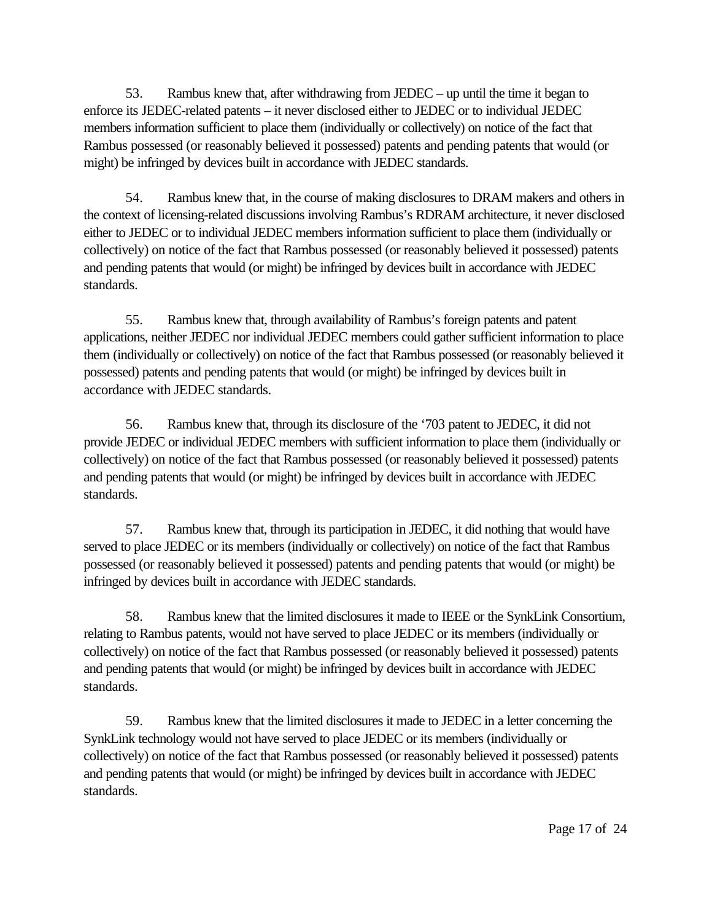53. Rambus knew that, after withdrawing from JEDEC – up until the time it began to enforce its JEDEC-related patents – it never disclosed either to JEDEC or to individual JEDEC members information sufficient to place them (individually or collectively) on notice of the fact that Rambus possessed (or reasonably believed it possessed) patents and pending patents that would (or might) be infringed by devices built in accordance with JEDEC standards.

54. Rambus knew that, in the course of making disclosures to DRAM makers and others in the context of licensing-related discussions involving Rambus's RDRAM architecture, it never disclosed either to JEDEC or to individual JEDEC members information sufficient to place them (individually or collectively) on notice of the fact that Rambus possessed (or reasonably believed it possessed) patents and pending patents that would (or might) be infringed by devices built in accordance with JEDEC standards.

55. Rambus knew that, through availability of Rambus's foreign patents and patent applications, neither JEDEC nor individual JEDEC members could gather sufficient information to place them (individually or collectively) on notice of the fact that Rambus possessed (or reasonably believed it possessed) patents and pending patents that would (or might) be infringed by devices built in accordance with JEDEC standards.

56. Rambus knew that, through its disclosure of the '703 patent to JEDEC, it did not provide JEDEC or individual JEDEC members with sufficient information to place them (individually or collectively) on notice of the fact that Rambus possessed (or reasonably believed it possessed) patents and pending patents that would (or might) be infringed by devices built in accordance with JEDEC standards.

57. Rambus knew that, through its participation in JEDEC, it did nothing that would have served to place JEDEC or its members (individually or collectively) on notice of the fact that Rambus possessed (or reasonably believed it possessed) patents and pending patents that would (or might) be infringed by devices built in accordance with JEDEC standards.

58. Rambus knew that the limited disclosures it made to IEEE or the SynkLink Consortium, relating to Rambus patents, would not have served to place JEDEC or its members (individually or collectively) on notice of the fact that Rambus possessed (or reasonably believed it possessed) patents and pending patents that would (or might) be infringed by devices built in accordance with JEDEC standards.

59. Rambus knew that the limited disclosures it made to JEDEC in a letter concerning the SynkLink technology would not have served to place JEDEC or its members (individually or collectively) on notice of the fact that Rambus possessed (or reasonably believed it possessed) patents and pending patents that would (or might) be infringed by devices built in accordance with JEDEC standards.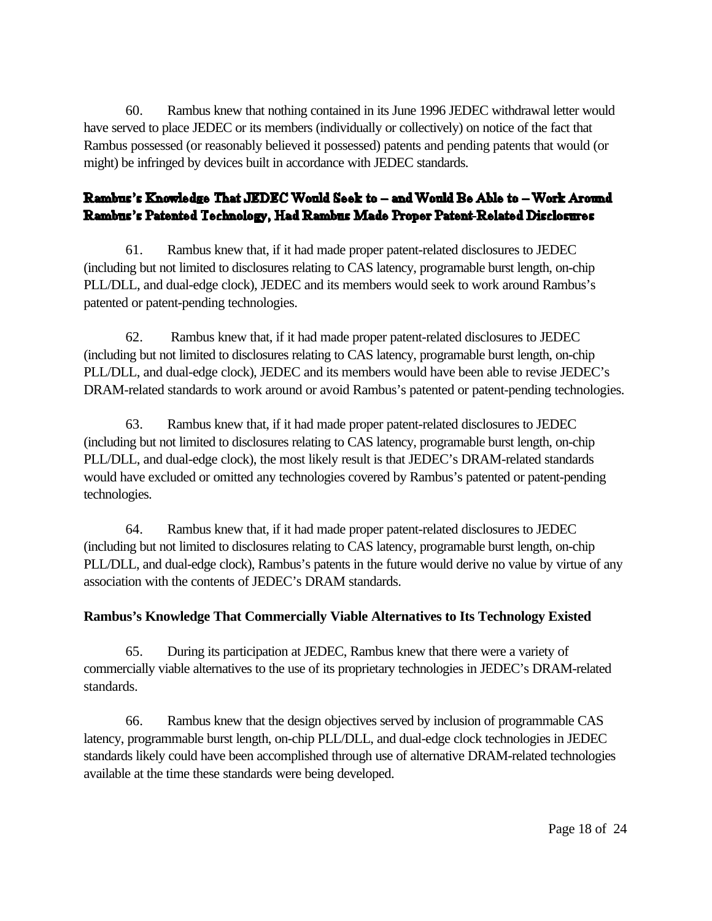60. Rambus knew that nothing contained in its June 1996 JEDEC withdrawal letter would have served to place JEDEC or its members (individually or collectively) on notice of the fact that Rambus possessed (or reasonably believed it possessed) patents and pending patents that would (or might) be infringed by devices built in accordance with JEDEC standards.

## Rambus's Knowledge That JEDEC Would Seek to - and Would Be Able to - Work Around Rambus's Patented Technology, Had Rambus Made Proper Patent-Related Disclosures

61. Rambus knew that, if it had made proper patent-related disclosures to JEDEC (including but not limited to disclosures relating to CAS latency, programable burst length, on-chip PLL/DLL, and dual-edge clock), JEDEC and its members would seek to work around Rambus's patented or patent-pending technologies.

62. Rambus knew that, if it had made proper patent-related disclosures to JEDEC (including but not limited to disclosures relating to CAS latency, programable burst length, on-chip PLL/DLL, and dual-edge clock), JEDEC and its members would have been able to revise JEDEC's DRAM-related standards to work around or avoid Rambus's patented or patent-pending technologies.

63. Rambus knew that, if it had made proper patent-related disclosures to JEDEC (including but not limited to disclosures relating to CAS latency, programable burst length, on-chip PLL/DLL, and dual-edge clock), the most likely result is that JEDEC's DRAM-related standards would have excluded or omitted any technologies covered by Rambus's patented or patent-pending technologies.

64. Rambus knew that, if it had made proper patent-related disclosures to JEDEC (including but not limited to disclosures relating to CAS latency, programable burst length, on-chip PLL/DLL, and dual-edge clock), Rambus's patents in the future would derive no value by virtue of any association with the contents of JEDEC's DRAM standards.

## **Rambus's Knowledge That Commercially Viable Alternatives to Its Technology Existed**

65. During its participation at JEDEC, Rambus knew that there were a variety of commercially viable alternatives to the use of its proprietary technologies in JEDEC's DRAM-related standards.

66. Rambus knew that the design objectives served by inclusion of programmable CAS latency, programmable burst length, on-chip PLL/DLL, and dual-edge clock technologies in JEDEC standards likely could have been accomplished through use of alternative DRAM-related technologies available at the time these standards were being developed.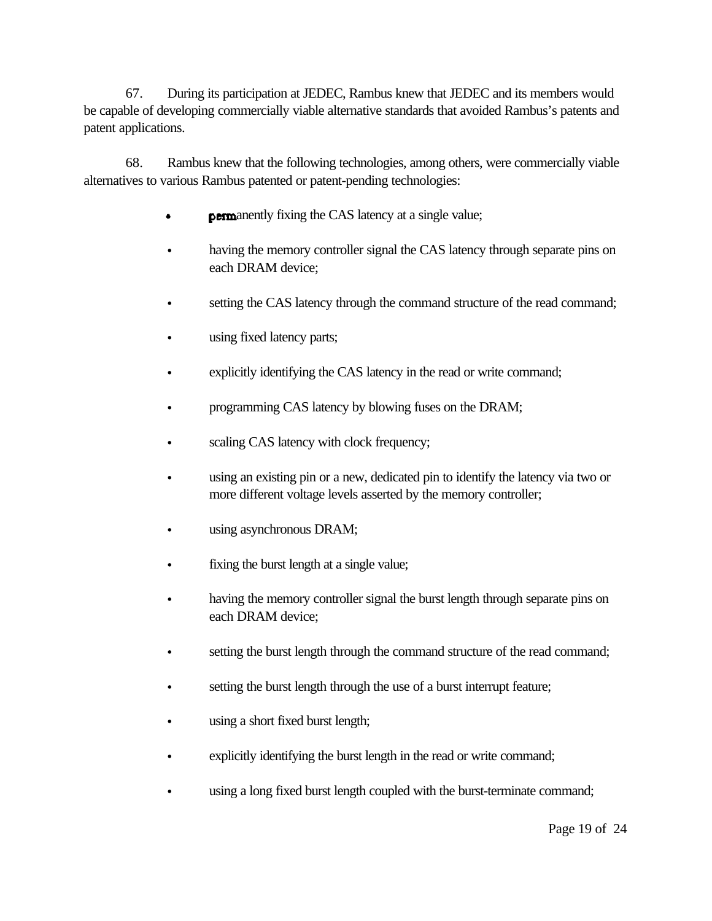67. During its participation at JEDEC, Rambus knew that JEDEC and its members would be capable of developing commercially viable alternative standards that avoided Rambus's patents and patent applications.

68. Rambus knew that the following technologies, among others, were commercially viable alternatives to various Rambus patented or patent-pending technologies:

- **permanently fixing the CAS latency at a single value;**
- having the memory controller signal the CAS latency through separate pins on each DRAM device;
- setting the CAS latency through the command structure of the read command;
- using fixed latency parts;
- explicitly identifying the CAS latency in the read or write command;
- programming CAS latency by blowing fuses on the DRAM;
- scaling CAS latency with clock frequency;
- using an existing pin or a new, dedicated pin to identify the latency via two or more different voltage levels asserted by the memory controller;
- using asynchronous DRAM;
- fixing the burst length at a single value;
- having the memory controller signal the burst length through separate pins on each DRAM device;
- setting the burst length through the command structure of the read command;
- setting the burst length through the use of a burst interrupt feature;
- using a short fixed burst length;
- explicitly identifying the burst length in the read or write command;
- using a long fixed burst length coupled with the burst-terminate command;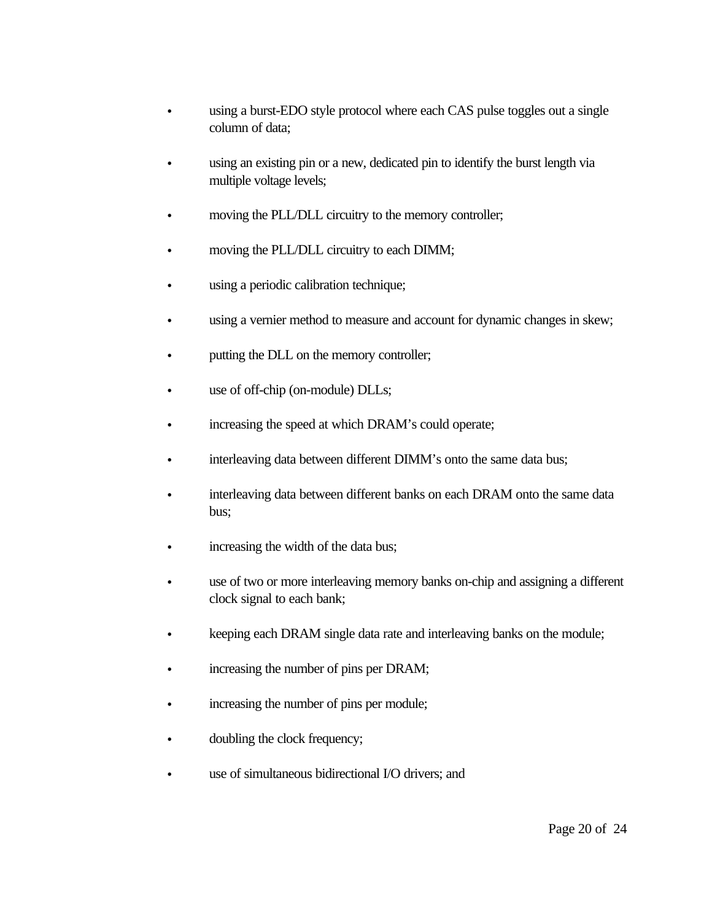- using a burst-EDO style protocol where each CAS pulse toggles out a single column of data;
- using an existing pin or a new, dedicated pin to identify the burst length via multiple voltage levels;
- moving the PLL/DLL circuitry to the memory controller;
- moving the PLL/DLL circuitry to each DIMM;
- using a periodic calibration technique;
- using a vernier method to measure and account for dynamic changes in skew;
- putting the DLL on the memory controller;
- use of off-chip (on-module) DLLs;
- increasing the speed at which DRAM's could operate;
- interleaving data between different DIMM's onto the same data bus;
- interleaving data between different banks on each DRAM onto the same data bus;
- increasing the width of the data bus;
- use of two or more interleaving memory banks on-chip and assigning a different clock signal to each bank;
- keeping each DRAM single data rate and interleaving banks on the module;
- increasing the number of pins per DRAM;
- increasing the number of pins per module;
- doubling the clock frequency;
- use of simultaneous bidirectional I/O drivers; and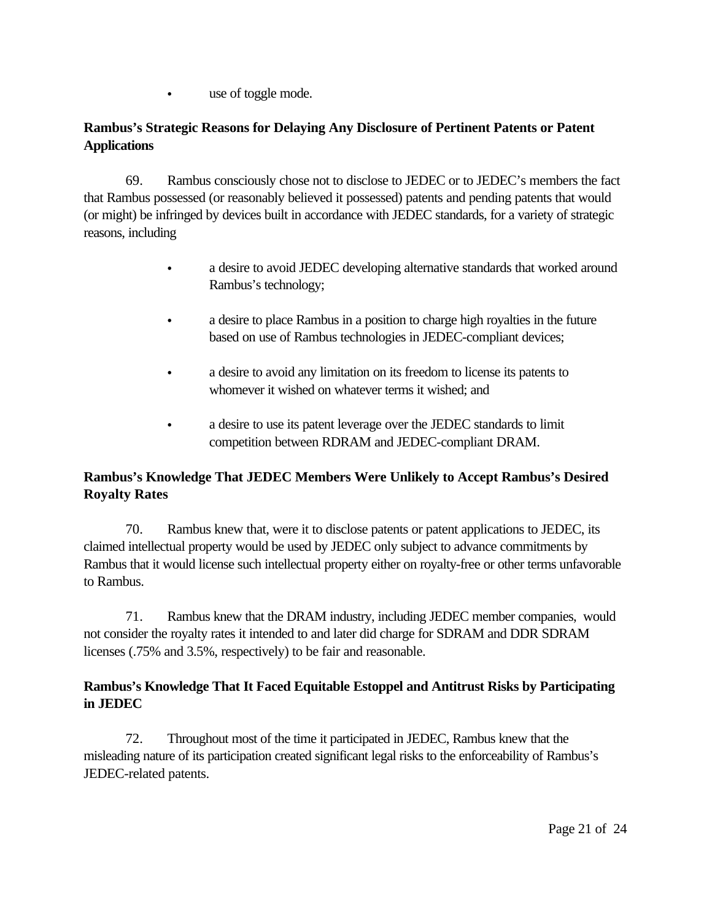• use of toggle mode.

## **Rambus's Strategic Reasons for Delaying Any Disclosure of Pertinent Patents or Patent Applications**

69. Rambus consciously chose not to disclose to JEDEC or to JEDEC's members the fact that Rambus possessed (or reasonably believed it possessed) patents and pending patents that would (or might) be infringed by devices built in accordance with JEDEC standards, for a variety of strategic reasons, including

- a desire to avoid JEDEC developing alternative standards that worked around Rambus's technology;
- a desire to place Rambus in a position to charge high royalties in the future based on use of Rambus technologies in JEDEC-compliant devices;
- a desire to avoid any limitation on its freedom to license its patents to whomever it wished on whatever terms it wished; and
- a desire to use its patent leverage over the JEDEC standards to limit competition between RDRAM and JEDEC-compliant DRAM.

## **Rambus's Knowledge That JEDEC Members Were Unlikely to Accept Rambus's Desired Royalty Rates**

70. Rambus knew that, were it to disclose patents or patent applications to JEDEC, its claimed intellectual property would be used by JEDEC only subject to advance commitments by Rambus that it would license such intellectual property either on royalty-free or other terms unfavorable to Rambus.

71. Rambus knew that the DRAM industry, including JEDEC member companies, would not consider the royalty rates it intended to and later did charge for SDRAM and DDR SDRAM licenses (.75% and 3.5%, respectively) to be fair and reasonable.

## **Rambus's Knowledge That It Faced Equitable Estoppel and Antitrust Risks by Participating in JEDEC**

72. Throughout most of the time it participated in JEDEC, Rambus knew that the misleading nature of its participation created significant legal risks to the enforceability of Rambus's JEDEC-related patents.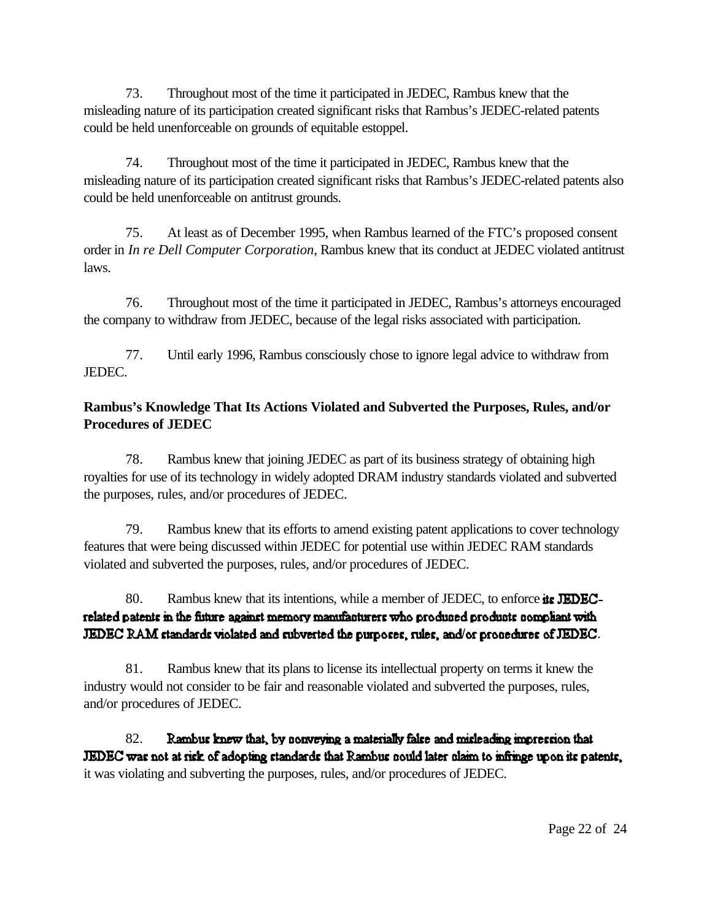73. Throughout most of the time it participated in JEDEC, Rambus knew that the misleading nature of its participation created significant risks that Rambus's JEDEC-related patents could be held unenforceable on grounds of equitable estoppel.

74. Throughout most of the time it participated in JEDEC, Rambus knew that the misleading nature of its participation created significant risks that Rambus's JEDEC-related patents also could be held unenforceable on antitrust grounds.

75. At least as of December 1995, when Rambus learned of the FTC's proposed consent order in *In re Dell Computer Corporation*, Rambus knew that its conduct at JEDEC violated antitrust laws.

76. Throughout most of the time it participated in JEDEC, Rambus's attorneys encouraged the company to withdraw from JEDEC, because of the legal risks associated with participation.

77. Until early 1996, Rambus consciously chose to ignore legal advice to withdraw from JEDEC.

## **Rambus's Knowledge That Its Actions Violated and Subverted the Purposes, Rules, and/or Procedures of JEDEC**

78. Rambus knew that joining JEDEC as part of its business strategy of obtaining high royalties for use of its technology in widely adopted DRAM industry standards violated and subverted the purposes, rules, and/or procedures of JEDEC.

79. Rambus knew that its efforts to amend existing patent applications to cover technology features that were being discussed within JEDEC for potential use within JEDEC RAM standards violated and subverted the purposes, rules, and/or procedures of JEDEC.

## 80. Rambus knew that its intentions, while a member of JEDEC, to enforce its JEDECrelated patents in the fisture against memory manufacturers who produced products compliant with JEDEC RAM standards violated and subverted the purposes, rules, and/or procedures of JEDEC.

81. Rambus knew that its plans to license its intellectual property on terms it knew the industry would not consider to be fair and reasonable violated and subverted the purposes, rules, and/or procedures of JEDEC.

82. Rambus knew that, by conveying a materially false and misleading impression that JEDEC was not at risk of adopting standards that Rambus nould later claim to infringe upon its patents, it was violating and subverting the purposes, rules, and/or procedures of JEDEC.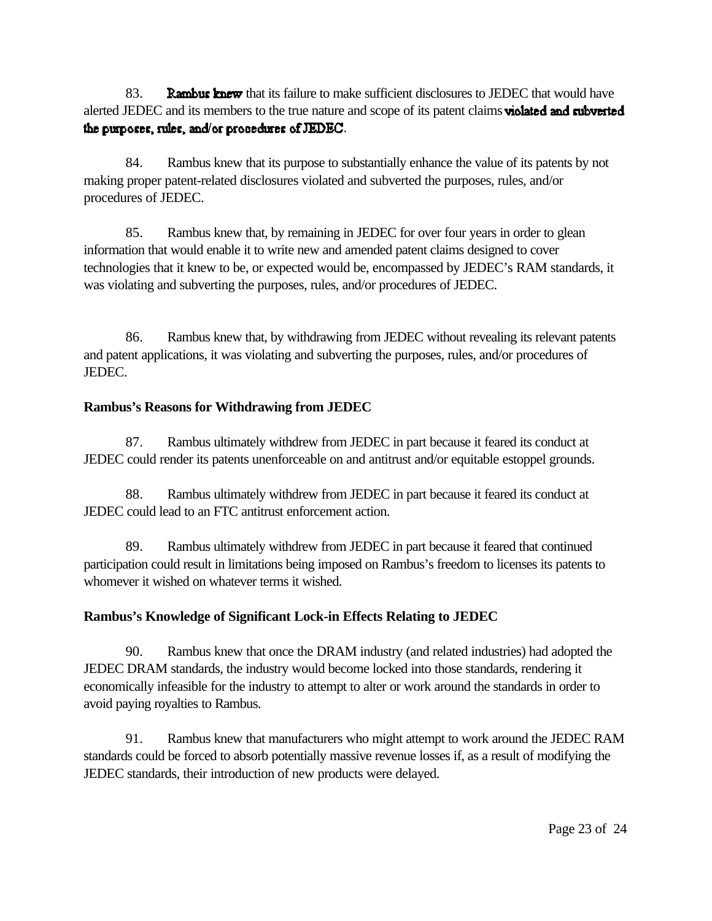83. Rambus knew that its failure to make sufficient disclosures to JEDEC that would have alerted JEDEC and its members to the true nature and scope of its patent claims **violated and subverted** the purposes, rules, and/or procedures of JEDEC.

84. Rambus knew that its purpose to substantially enhance the value of its patents by not making proper patent-related disclosures violated and subverted the purposes, rules, and/or procedures of JEDEC.

85. Rambus knew that, by remaining in JEDEC for over four years in order to glean information that would enable it to write new and amended patent claims designed to cover technologies that it knew to be, or expected would be, encompassed by JEDEC's RAM standards, it was violating and subverting the purposes, rules, and/or procedures of JEDEC.

86. Rambus knew that, by withdrawing from JEDEC without revealing its relevant patents and patent applications, it was violating and subverting the purposes, rules, and/or procedures of JEDEC.

#### **Rambus's Reasons for Withdrawing from JEDEC**

87. Rambus ultimately withdrew from JEDEC in part because it feared its conduct at JEDEC could render its patents unenforceable on and antitrust and/or equitable estoppel grounds.

88. Rambus ultimately withdrew from JEDEC in part because it feared its conduct at JEDEC could lead to an FTC antitrust enforcement action.

89. Rambus ultimately withdrew from JEDEC in part because it feared that continued participation could result in limitations being imposed on Rambus's freedom to licenses its patents to whomever it wished on whatever terms it wished.

## **Rambus's Knowledge of Significant Lock-in Effects Relating to JEDEC**

90. Rambus knew that once the DRAM industry (and related industries) had adopted the JEDEC DRAM standards, the industry would become locked into those standards, rendering it economically infeasible for the industry to attempt to alter or work around the standards in order to avoid paying royalties to Rambus.

91. Rambus knew that manufacturers who might attempt to work around the JEDEC RAM standards could be forced to absorb potentially massive revenue losses if, as a result of modifying the JEDEC standards, their introduction of new products were delayed.